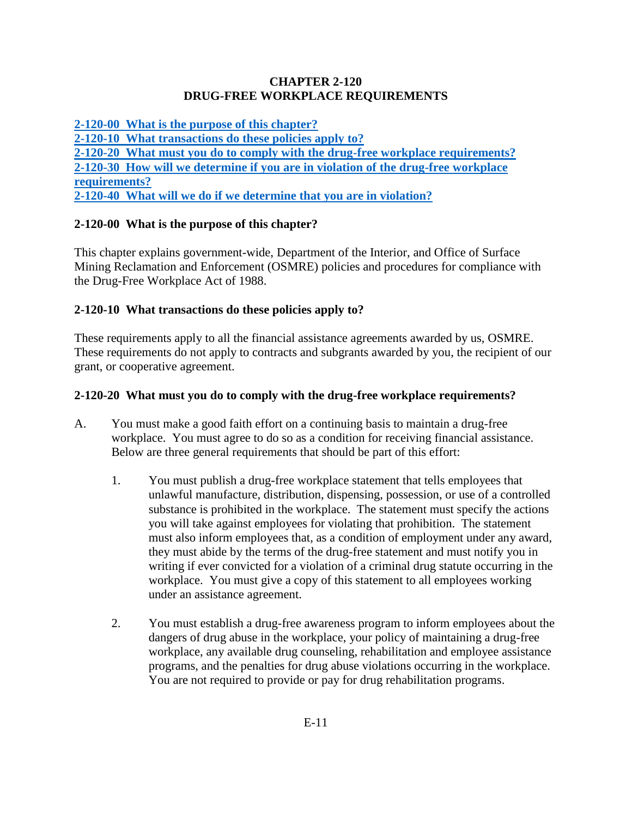#### **CHAPTER 2-120 DRUG-FREE WORKPLACE REQUIREMENTS**

**[2-120-00 What is the purpose of this chapter?](#page-0-0) [2-120-10 What transactions do these policies apply to?](#page-0-1) 2-120-20 What [must you do to comply with the drug-free workplace requirements?](#page-0-2) [2-120-30 How will we determine if you are in violation of the drug-free workplace](#page-1-0)  [requirements?](#page-1-0) [2-120-40 What will we do if we determine that you are in violation?](#page-1-1)**

### <span id="page-0-0"></span>**2-120-00 What is the purpose of this chapter?**

This chapter explains government-wide, Department of the Interior, and Office of Surface Mining Reclamation and Enforcement (OSMRE) policies and procedures for compliance with the Drug-Free Workplace Act of 1988.

#### <span id="page-0-1"></span>**2-120-10 What transactions do these policies apply to?**

These requirements apply to all the financial assistance agreements awarded by us, OSMRE. These requirements do not apply to contracts and subgrants awarded by you, the recipient of our grant, or cooperative agreement.

### <span id="page-0-2"></span>**2-120-20 What must you do to comply with the drug-free workplace requirements?**

- A. You must make a good faith effort on a continuing basis to maintain a drug-free workplace. You must agree to do so as a condition for receiving financial assistance. Below are three general requirements that should be part of this effort:
	- 1. You must publish a drug-free workplace statement that tells employees that unlawful manufacture, distribution, dispensing, possession, or use of a controlled substance is prohibited in the workplace. The statement must specify the actions you will take against employees for violating that prohibition. The statement must also inform employees that, as a condition of employment under any award, they must abide by the terms of the drug-free statement and must notify you in writing if ever convicted for a violation of a criminal drug statute occurring in the workplace. You must give a copy of this statement to all employees working under an assistance agreement.
	- 2. You must establish a drug-free awareness program to inform employees about the dangers of drug abuse in the workplace, your policy of maintaining a drug-free workplace, any available drug counseling, rehabilitation and employee assistance programs, and the penalties for drug abuse violations occurring in the workplace. You are not required to provide or pay for drug rehabilitation programs.